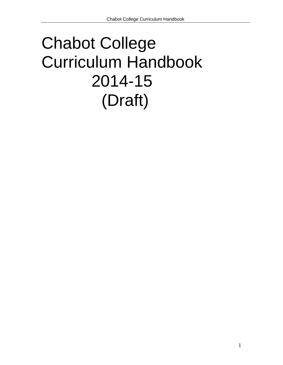# Chabot College Curriculum Handbook 2014-15 (Draft)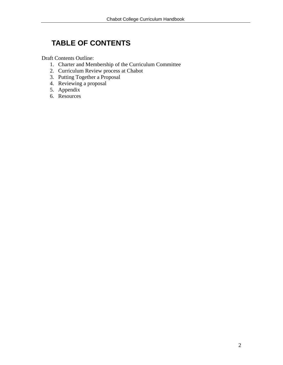# **TABLE OF CONTENTS**

Draft Contents Outline:

- 1. Charter and Membership of the Curriculum Committee
- 2. Curriculum Review process at Chabot
- 3. Putting Together a Proposal
- 4. Reviewing a proposal
- 5. Appendix
- 6. Resources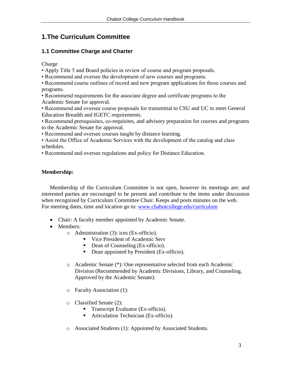# **1.The Curriculum Committee**

# **1.1 Committee Charge and Charter**

Charge

- Apply Title 5 and Board policies in review of course and program proposals.
- Recommend and oversee the development of new courses and programs.
- Recommend course outlines of record and new program applications for those courses and programs.
- Recommend requirements for the associate degree and certificate programs to the Academic Senate for approval.
- Recommend and oversee course proposals for transmittal to CSU and UC to meet General Education Breadth and IGETC requirements.
- Recommend prerequisites, co-requisites, and advisory preparation for courses and programs to the Academic Senate for approval.
- Recommend and oversee courses taught by distance learning.
- Assist the Office of Academic Services with the development of the catalog and class schedules.
- Recommend and oversee regulations and policy for Distance Education.

# **Membership:**

Membership of the Curriculum Committee is not open, however its meetings are; and interested parties are encouraged to be present and contribute to the items under discussion when recognized by Curriculum Committee Chair. Keeps and posts minutes on the web. For meeting dates, time and location go to: [www.chabotcollege.edu/curriculum](http://www.chabotcollege.edu/curriculum)

- Chair: A faculty member appointed by Academic Senate.
- Members:
	- o Administration (3): ices (Ex-officio).
		- Vice President of Academic Serv
		- Dean of Counseling (Ex-officio).
		- Dean appointed by President (Ex-officio).
	- o Academic Senate (\*): One representative selected from each Academic Division (Recommended by Academic Divisions, Library, and Counseling. Approved by the Academic Senate).
	- o Faculty Association (1):
	- o Classified Senate (2):
		- **Transcript Evaluator (Ex-officio).**
		- **Articulation Technician (Ex-officio).**
	- o Associated Students (1): Appointed by Associated Students.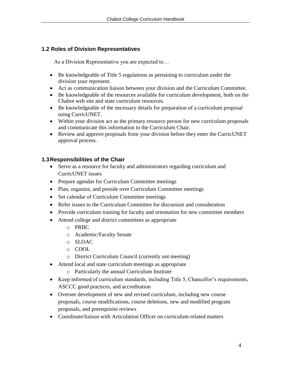# **1.2 Roles of Division Representatives**

As a Division Representative you are expected to…

- Be knowledgeable of Title 5 regulations as pertaining to curriculum under the division your represent.
- Act as communication liaison between your division and the Curriculum Committee.
- Be knowledgeable of the resources available for curriculum development, both on the Chabot web site and state curriculum resources.
- Be knowledgeable of the necessary details for preparation of a curriculum proposal using CurricUNET.
- Within your division act as the primary resource person for new curriculum proposals and communicate this information to the Curriculum Chair.
- Review and approve proposals from your division before they enter the CurricUNET approval process.

# **1.3Responsibilities of the Chair**

- Serve as a resource for faculty and administrators regarding curriculum and CurricUNET issues
- Prepare agendas for Curriculum Committee meetings
- Plan, organize, and preside over Curriculum Committee meetings
- Set calendar of Curriculum Committee meetings
- Refer issues to the Curriculum Committee for discussion and consideration
- Provide curriculum training for faculty and orientation for new committee members
- Attend college and district committees as appropriate
	- o PRBC
	- o Academic/Faculty Senate
	- o SLOAC
	- o COOL
	- o District Curriculum Council (currently not meeting)
- Attend local and state curriculum meetings as appropriate
	- o Particularly the annual Curriculum Institute
- Keep informed of curriculum standards, including Title 5, Chancellor's requirements, ASCCC good practices, and accreditation
- Oversee development of new and revised curriculum, including new course proposals, course modifications, course deletions, new and modified program proposals, and prerequisite reviews
- Coordinate/liaison with Articulation Officer on curriculum-related matters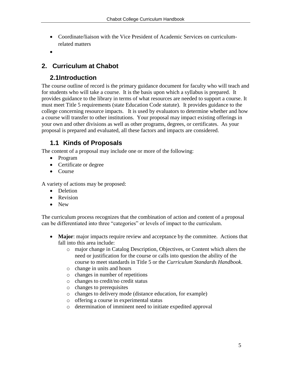- Coordinate/liaison with the Vice President of Academic Services on curriculumrelated matters
- $\bullet$

# **2. Curriculum at Chabot**

# **2.1Introduction**

The course outline of record is the primary guidance document for faculty who will teach and for students who will take a course. It is the basis upon which a syllabus is prepared. It provides guidance to the library in terms of what resources are needed to support a course. It must meet Title 5 requirements (state Education Code statute). It provides guidance to the college concerning resource impacts. It is used by evaluators to determine whether and how a course will transfer to other institutions. Your proposal may impact existing offerings in your own and other divisions as well as other programs, degrees, or certificates. As your proposal is prepared and evaluated, all these factors and impacts are considered.

# **1.1 Kinds of Proposals**

The content of a proposal may include one or more of the following:

- Program
- Certificate or degree
- Course

A variety of actions may be proposed:

- Deletion
- Revision
- New

The curriculum process recognizes that the combination of action and content of a proposal can be differentiated into three "categories" or levels of impact to the curriculum.

- **Major**: major impacts require review and acceptance by the committee. Actions that fall into this area include:
	- o major change in Catalog Description, Objectives, or Content which alters the need or justification for the course or calls into question the ability of the course to meet standards in Title 5 or the *Curriculum Standards Handbook*.
	- o change in units and hours
	- o changes in number of repetitions
	- o changes to credit/no credit status
	- o changes to prerequisites
	- o changes to delivery mode (distance education, for example)
	- o offering a course in experimental status
	- o determination of imminent need to initiate expedited approval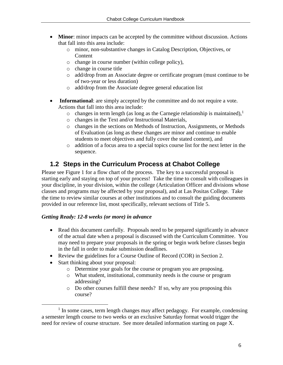- **Minor**: minor impacts can be accepted by the committee without discussion. Actions that fall into this area include:
	- o minor, non-substantive changes in Catalog Description, Objectives, or Content
	- o change in course number (within college policy),
	- o change in course title
	- o add/drop from an Associate degree or certificate program (must continue to be of two-year or less duration)
	- o add/drop from the Associate degree general education list
- **Informational:** are simply accepted by the committee and do not require a vote. Actions that fall into this area include:
	- $\circ$  changes in term length (as long as the Carnegie relationship is maintained),<sup>1</sup>
	- o changes in the Text and/or Instructional Materials,
	- o changes in the sections on Methods of Instruction, Assignments, or Methods of Evaluation (as long as these changes are minor and continue to enable students to meet objectives and fully cover the stated content), and
	- o addition of a focus area to a special topics course list for the next letter in the sequence.

# **1.2 Steps in the Curriculum Process at Chabot College**

Please see Figure 1 for a flow chart of the process. The key to a successful proposal is starting early and staying on top of your process! Take the time to consult with colleagues in your discipline, in your division, within the college (Articulation Officer and divisions whose classes and programs may be affected by your proposal), and at Las Positas College. Take the time to review similar courses at other institutions and to consult the guiding documents provided in our reference list, most specifically, relevant sections of Title 5.

## *Getting Ready: 12-8 weeks (or more) in advance*

- Read this document carefully. Proposals need to be prepared significantly in advance of the actual date when a proposal is discussed with the Curriculum Committee. You may need to prepare your proposals in the spring or begin work before classes begin in the fall in order to make submission deadlines.
- Review the guidelines for a Course Outline of Record (COR) in Section 2.
- Start thinking about your proposal:

 $\overline{a}$ 

- o Determine your goals for the course or program you are proposing.
- o What student, institutional, community needs is the course or program addressing?
- o Do other courses fulfill these needs? If so, why are you proposing this course?

 $<sup>1</sup>$  In some cases, term length changes may affect pedagogy. For example, condensing</sup> a semester length course to two weeks or an exclusive Saturday format would trigger the need for review of course structure. See more detailed information starting on page X.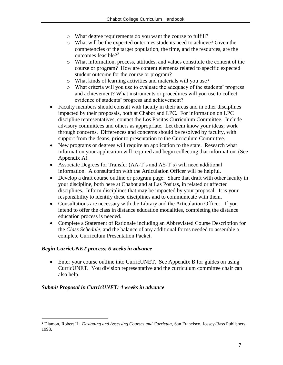- o What degree requirements do you want the course to fulfill?
- o What will be the expected outcomes students need to achieve? Given the competencies of the target population, the time, and the resources, are the outcomes feasible?<sup>2</sup>
- o What information, process, attitudes, and values constitute the content of the course or program? How are content elements related to specific expected student outcome for the course or program?
- o What kinds of learning activities and materials will you use?
- o What criteria will you use to evaluate the adequacy of the students' progress and achievement? What instruments or procedures will you use to collect evidence of students' progress and achievement?
- Faculty members should consult with faculty in their areas and in other disciplines impacted by their proposals, both at Chabot and LPC. For information on LPC discipline representatives, contact the Los Positas Curriculum Committee. Include advisory committees and others as appropriate. Let them know your ideas; work through concerns. Differences and concerns should be resolved by faculty, with support from the deans, prior to presentation to the Curriculum Committee.
- New programs or degrees will require an application to the state. Research what information your application will required and begin collecting that information. (See Appendix A).
- Associate Degrees for Transfer (AA-T's and AS-T's) will need additional information. A consultation with the Articulation Officer will be helpful.
- Develop a draft course outline or program page. Share that draft with other faculty in your discipline, both here at Chabot and at Las Positas, in related or affected disciplines. Inform disciplines that may be impacted by your proposal. It is your responsibility to identify these disciplines and to communicate with them.
- Consultations are necessary with the Library and the Articulation Officer. If you intend to offer the class in distance education modalities, completing the distance education process is needed.
- Complete a Statement of Rationale including an Abbreviated Course Description for the *Class Schedule,* and the balance of any additional forms needed to assemble a complete Curriculum Presentation Packet.

# *Begin CurricUNET process: 6 weeks in advance*

 Enter your course outline into CurricUNET. See Appendix B for guides on using CurricUNET. You division representative and the curriculum committee chair can also help.

# *Submit Proposal in CurricUNET: 4 weeks in advance*

 $\overline{a}$ 

<sup>2</sup> Diamon, Robert H. *Designing and Assessing Courses and Curricula,* San Francisco, Jossey-Bass Publishers, 1998.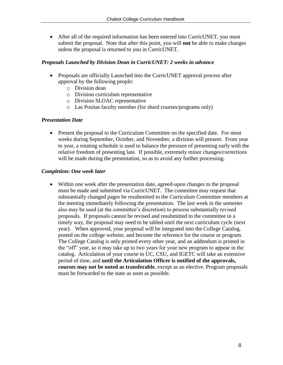After all of the required information has been entered into CurricUNET, you must submit the proposal. Note that after this point, you will **not** be able to make changes unless the proposal is returned to you in CurricUNET.

## *Proposals Launched by Division Dean in CurricUNET: 2 weeks in advance*

- Proposals are officially Launched into the CurricUNET approval process after approval by the following people:
	- o Division dean
	- o Division curriculum representative
	- o Division SLOAC representative
	- o Las Positas faculty member (for shard courses/programs only)

# *Presentation Date*

• Present the proposal to the Curriculum Committee on the specified date. For most weeks during September, October, and November, a division will present. From year to year, a rotating schedule is used to balance the pressure of presenting early with the relative freedom of presenting late. If possible, extremely minor changes/corrections will be made during the presentation, so as to avoid any further processing.

# *Completion: One week later*

 Within one week after the presentation date, agreed-upon changes to the proposal must be made and submitted via CurricUNET. The committee may request that substantially changed pages be resubmitted to the Curriculum Committee members at the meeting immediately following the presentation. The last week in the semester also may be used (at the committee's discretion) to process substantially revised proposals. If proposals cannot be revised and resubmitted to the committee in a timely way, the proposal may need to be tabled until the next curriculum cycle (next year). When approved, your proposal will be integrated into the College Catalog, posted on the college website, and become the reference for the course or program. The College Catalog is only printed every other year, and an addendum is printed in the "off" year, so it may take up to two years for your new program to appear in the catalog. Articulation of your course to UC, CSU, and IGETC will take an extensive period of time, and **until the Articulation Officer is notified of the approvals, courses may not be noted as transferable**, except as an elective. Program proposals must be forwarded to the state as soon as possible.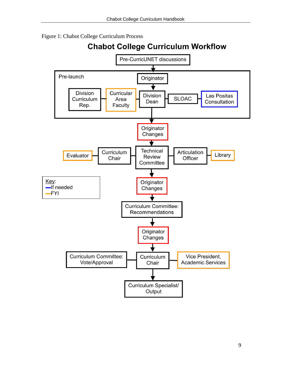Figure 1: Chabot College Curriculum Process



**Chabot College Curriculum Workflow**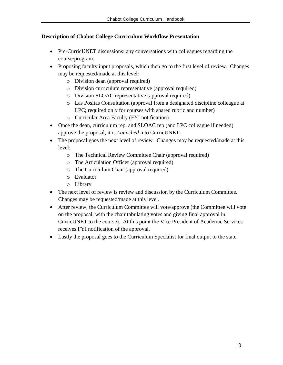# **Description of Chabot College Curriculum Workflow Presentation**

- Pre-CurricUNET discussions: any conversations with colleagues regarding the course/program.
- Proposing faculty input proposals, which then go to the first level of review. Changes may be requested/made at this level:
	- o Division dean (approval required)
	- o Division curriculum representative (approval required)
	- o Division SLOAC representative (approval required)
	- o Las Positas Consultation (approval from a designated discipline colleague at LPC; required only for courses with shared rubric and number)
	- o Curricular Area Faculty (FYI notification)
- Once the dean, curriculum rep, and SLOAC rep (and LPC colleague if needed) approve the proposal, it is *Launched* into CurricUNET.
- The proposal goes the next level of review. Changes may be requested/made at this level:
	- o The Technical Review Committee Chair (approval required)
	- o The Articulation Officer (approval required)
	- o The Curriculum Chair (approval required)
	- o Evaluator
	- o Library
- The next level of review is review and discussion by the Curriculum Committee. Changes may be requested/made at this level.
- After review, the Curriculum Committee will vote/approve (the Committee will vote on the proposal, with the chair tabulating votes and giving final approval in CurricUNET to the course). At this point the Vice President of Academic Services receives FYI notification of the approval.
- Lastly the proposal goes to the Curriculum Specialist for final output to the state.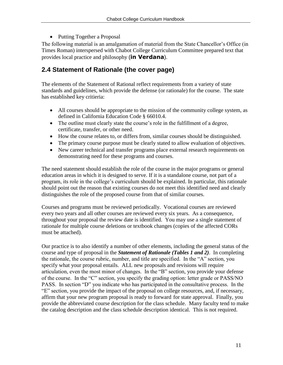• Putting Together a Proposal

The following material is an amalgamation of material from the State Chancellor's Office (in Times Roman) interspersed with Chabot College Curriculum Committee prepared text that provides local practice and philosophy (**in Verdana**).

# **2.4 Statement of Rationale (the cover page)**

The elements of the Statement of Rational reflect requirements from a variety of state standards and guidelines, which provide the defense (or rationale) for the course. The state has established key critieria:

- All courses should be appropriate to the mission of the community college system, as defined in California Education Code § 66010.4.
- The outline must clearly state the course's role in the fulfillment of a degree, certificate, transfer, or other need.
- How the course relates to, or differs from, similar courses should be distinguished.
- The primary course purpose must be clearly stated to allow evaluation of objectives.
- New career technical and transfer programs place external research requirements on demonstrating need for these programs and courses.

The need statement should establish the role of the course in the major programs or general education areas in which it is designed to serve. If it is a standalone course, not part of a program, its role in the college's curriculum should be explained. In particular, this rationale should point out the reason that existing courses do not meet this identified need and clearly distinguishes the role of the proposed course from that of similar courses.

Courses and programs must be reviewed periodically. Vocational courses are reviewed every two years and all other courses are reviewed every six years. As a consequence, throughout your proposal the review date is identified. You may use a single statement of rationale for multiple course deletions or textbook changes (copies of the affected CORs must be attached).

Our practice is to also identify a number of other elements, including the general status of the course and type of proposal in the *Statement of Rationale (Tables 1 and 2)*. In completing the rationale, the course rubric, number, and title are specified. In the "A" section, you specify what your proposal entails. ALL new proposals and revisions will require articulation, even the most minor of changes. In the "B" section, you provide your defense of the course. In the "C" section, you specify the grading option: letter grade or PASS/NO PASS. In section "D" you indicate who has participated in the consultative process. In the "E" section, you provide the impact of the proposal on college resources, and, if necessary, affirm that your new program proposal is ready to forward for state approval. Finally, you provide the abbreviated course description for the class schedule. Many faculty tend to make the catalog description and the class schedule description identical. This is not required.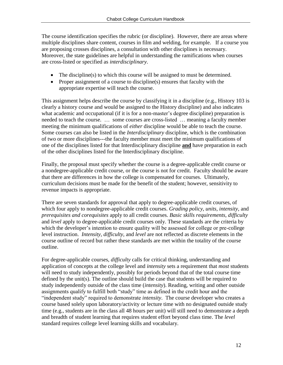The course identification specifies the rubric (or discipline). However, there are areas where multiple disciplines share content, courses in film and welding, for example. If a course you are proposing crosses disciplines, a consultation with other disciplines is necessary. Moreover, the state guidelines are helpful in understanding the ramifications when courses are cross-listed or specified as *interdisciplinary*.

- The discipline(s) to which this course will be assigned to must be determined.
- Proper assignment of a course to discipline(s) ensures that faculty with the appropriate expertise will teach the course.

This assignment helps describe the course by classifying it in a discipline (e.g., History 103 is clearly a history course and would be assigned to the History discipline) and also indicates what academic and occupational (if it is for a non-master's degree discipline) preparation is needed to teach the course. … some courses are cross-listed … meaning a faculty member meeting the minimum qualifications of *either* discipline would be able to teach the course. Some courses can also be listed in the *Interdisciplinary* discipline, which is the combination of two or more disciplines---the faculty member must meet the minimum qualifications of one of the disciplines listed for that Interdisciplinary discipline **and** have preparation in each of the other disciplines listed for the Interdisciplinary discipline.

Finally, the proposal must specify whether the course is a degree-applicable credit course or a nondegree-applicable credit course, or the course is not for credit. Faculty should be aware that there are differences in how the college is compensated for courses. Ultimately, curriculum decisions must be made for the benefit of the student; however, sensitivity to revenue impacts is appropriate.

There are seven standards for approval that apply to degree-applicable credit courses, of which four apply to nondegree-applicable credit courses. *Grading policy, units, intensity,* and *prerequisites and corequisites* apply to all credit courses. *Basic skills requirements, difficulty* and *level* apply to degree-applicable credit courses only. These standards are the criteria by which the developer's intention to ensure quality will be assessed for college or pre-college level instruction. *Intensity, difficulty,* and *level* are not reflected as discrete elements in the course outline of record but rather these standards are met within the totality of the course outline.

For degree-applicable courses, *difficulty* calls for critical thinking, understanding and application of concepts at the college level and *intensity* sets a requirement that *most* students will need to study independently, possibly for periods beyond that of the total course time defined by the unit(s). The outline should build the case that students will be required to study independently outside of the class time (*intensity*). Reading, writing and other outside assignments qualify to fulfill both "study" time as defined in the credit hour and the "independent study" required to demonstrate *intensity*. The course developer who creates a course based solely upon laboratory/activity or lecture time with no designated outside study time (e.g., students are in the class all 48 hours per unit) will still need to demonstrate a depth and breadth of student learning that requires student effort beyond class time. The *level* standard requires college level learning skills and vocabulary.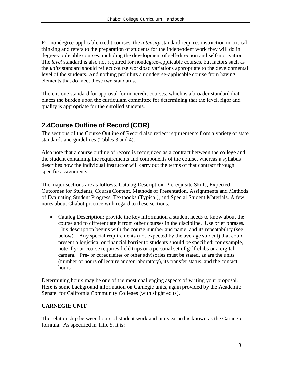For nondegree-applicable credit courses, the *intensity* standard requires instruction in critical thinking and refers to the preparation of students for the independent work they will do in degree-applicable courses, including the development of self-direction and self-motivation. The *level* standard is also not required for nondegree-applicable courses, but factors such as the *units* standard should reflect course workload variations appropriate to the developmental level of the students. And nothing prohibits a nondegree-applicable course from having elements that do meet these two standards.

There is one standard for approval for noncredit courses, which is a broader standard that places the burden upon the curriculum committee for determining that the level, rigor and quality is appropriate for the enrolled students.

# **2.4Course Outline of Record (COR)**

The sections of the Course Outline of Record also reflect requirements from a variety of state standards and guidelines (Tables 3 and 4).

Also note that a course outline of record is recognized as a contract between the college and the student containing the requirements and components of the course, whereas a syllabus describes how the individual instructor will carry out the terms of that contract through specific assignments.

The major sections are as follows: Catalog Description, Prerequisite Skills, Expected Outcomes for Students, Course Content, Methods of Presentation, Assignments and Methods of Evaluating Student Progress, Textbooks (Typical), and Special Student Materials. A few notes about Chabot practice with regard to these sections.

 Catalog Description: provide the key information a student needs to know about the course and to differentiate it from other courses in the discipline. Use brief phrases. This description begins with the course number and name, and its repeatability (see below). Any special requirements (not expected by the average student) that could present a logistical or financial barrier to students should be specified; for example, note if your course requires field trips or a personal set of golf clubs or a digital camera. Pre- or corequisites or other advisories must be stated, as are the units (number of hours of lecture and/or laboratory), its transfer status, and the contact hours.

Determining hours may be one of the most challenging aspects of writing your proposal. Here is some background information on Carnegie units, again provided by the Academic Senate for California Community Colleges (with slight edits).

# **CARNEGIE UNIT**

The relationship between hours of student work and units earned is known as the Carnegie formula. As specified in Title 5, it is: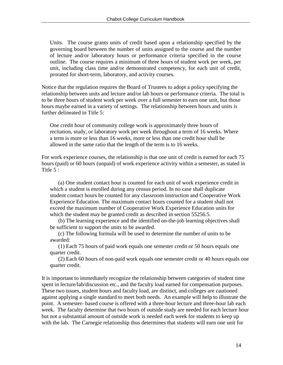Units. The course grants units of credit based upon a relationship specified by the governing board between the number of units assigned to the course and the number of lecture and/or laboratory hours or performance criteria specified in the course outline. The course requires a minimum of three hours of student work per week, per unit, including class time and/or demonstrated competency, for each unit of credit, prorated for short-term, laboratory, and activity courses.

Notice that the regulation requires the Board of Trustees to adopt a policy specifying the relationship between units and lecture and/or lab hours or performance criteria. The total is to be three hours of student work per week over a full semester to earn one unit, but those hours maybe earned in a variety of settings. The relationship between hours and units is further delineated in Title 5:

One credit hour of community college work is approximately three hours of recitation, study, or laboratory work per week throughout a term of 16 weeks. Where a term is more or less than 16 weeks, more or less than one credit hour shall be allowed in the same ratio that the length of the term is to 16 weeks.

For work experience courses, the relationship is that one unit of credit is earned for each 75 hours (paid) or 60 hours (unpaid) of work experience activity within a semester, as stated in Title 5 :

(a) One student contact hour is counted for each unit of work experience credit in which a student is enrolled during any census period. In no case shall duplicate student contact hours be counted for any classroom instruction and Cooperative Work Experience Education. The maximum contact hours counted for a student shall not exceed the maximum number of Cooperative Work Experience Education units for which the student may be granted credit as described in section 55256.5.

(b) The learning experience and the identified on-the-job learning objectives shall be sufficient to support the units to be awarded.

(c) The following formula will be used to determine the number of units to be awarded:

(1) Each 75 hours of paid work equals one semester credit or 50 hours equals one quarter credit.

(2) Each 60 hours of non-paid work equals one semester credit or 40 hours equals one quarter credit.

It is important to immediately recognize the relationship between categories of student time spent in lecture/lab/discussion etc., and the faculty load earned for compensation purposes. These two issues, student hours and faculty load, are distinct, and colleges are cautioned against applying a single standard to meet both needs. An example will help to illustrate the point. A semester- based course is offered with a three-hour lecture and three-hour lab each week. The faculty determine that two hours of outside study are needed for each lecture hour but not a substantial amount of outside work is needed each week for students to keep up with the lab. The Carnegie relationship thus determines that students will earn one unit for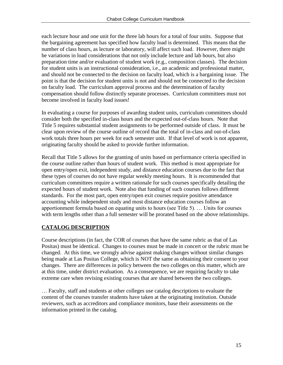each lecture hour and one unit for the three lab hours for a total of four units. Suppose that the bargaining agreement has specified how faculty load is determined. This means that the number of class hours, as lecture or laboratory, will affect such load. However, there might be variations in load considerations that not only include lecture and lab hours, but also preparation time and/or evaluation of student work (e.g., composition classes). The decision for student units is an instructional consideration, i.e., an academic and professional matter, and should not be connected to the decision on faculty load, which is a bargaining issue. The point is that the decision for student units is not and should not be connected to the decision on faculty load. The curriculum approval process and the determination of faculty compensation should follow distinctly separate processes. Curriculum committees must not become involved in faculty load issues!

In evaluating a course for purposes of awarding student units, curriculum committees should consider both the specified in-class hours and the expected out-of-class hours. Note that Title 5 requires substantial student assignments to be performed outside of class. It must be clear upon review of the course outline of record that the total of in-class and out-of-class work totals three hours per week for each semester unit. If that level of work is not apparent, originating faculty should be asked to provide further information.

Recall that Title 5 allows for the granting of units based on performance criteria specified in the course outline rather than hours of student work. This method is most appropriate for open entry/open exit, independent study, and distance education courses due to the fact that these types of courses do not have regular weekly meeting hours. It is recommended that curriculum committees require a written rationale for such courses specifically detailing the expected hours of student work. Note also that funding of such courses follows different standards. For the most part, open entry/open exit courses require positive attendance accounting while independent study and most distance education courses follow an apportionment formula based on equating units to hours (see Title 5). … Units for courses with term lengths other than a full semester will be prorated based on the above relationships.

# **CATALOG DESCRIPTION**

Course descriptions (in fact, the COR of courses that have the same rubric as that of Las Positas) must be identical. Changes to courses must be made in concert or the rubric must be changed. At this time, we strongly advise against making changes without similar changes being made at Las Positas College, which is NOT the same as obtaining their consent to your changes. There are differences in policy between the two colleges on this matter, which are at this time, under district evaluation. As a consequence, we are requiring faculty to take extreme care when revising existing courses that are shared between the two colleges.

… Faculty, staff and students at other colleges use catalog descriptions to evaluate the content of the courses transfer students have taken at the originating institution. Outside reviewers, such as accreditors and compliance monitors, base their assessments on the information printed in the catalog.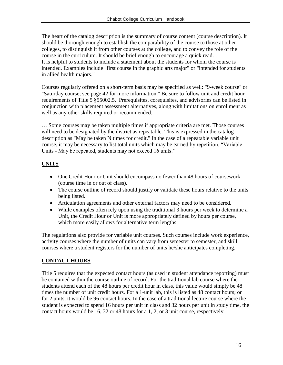The heart of the catalog description is the summary of course content (course description). It should be thorough enough to establish the comparability of the course to those at other colleges, to distinguish it from other courses at the college, and to convey the role of the course in the curriculum. It should be brief enough to encourage a quick read. … It is helpful to students to include a statement about the students for whom the course is intended. Examples include "first course in the graphic arts major" or "intended for students in allied health majors."

Courses regularly offered on a short-term basis may be specified as well: "9-week course" or "Saturday course; see page 42 for more information." Be sure to follow unit and credit hour requirements of Title 5 §55002.5. Prerequisites, corequisites, and advisories can be listed in conjunction with placement assessment alternatives, along with limitations on enrollment as well as any other skills required or recommended.

… Some courses may be taken multiple times if appropriate criteria are met. Those courses will need to be designated by the district as repeatable. This is expressed in the catalog description as "May be taken N times for credit." In the case of a repeatable variable unit course, it may be necessary to list total units which may be earned by repetition. "Variable Units - May be repeated, students may not exceed 16 units."

# **UNITS**

- One Credit Hour or Unit should encompass no fewer than 48 hours of coursework (course time in or out of class).
- The course outline of record should justify or validate these hours relative to the units being listed.
- Articulation agreements and other external factors may need to be considered.
- While examples often rely upon using the traditional 3 hours per week to determine a Unit, the Credit Hour or Unit is more appropriately defined by hours per course, which more easily allows for alternative term lengths.

The regulations also provide for variable unit courses. Such courses include work experience, activity courses where the number of units can vary from semester to semester, and skill courses where a student registers for the number of units he/she anticipates completing.

# **CONTACT HOURS**

Title 5 requires that the expected contact hours (as used in student attendance reporting) must be contained within the course outline of record. For the traditional lab course where the students attend each of the 48 hours per credit hour in class, this value would simply be 48 times the number of unit credit hours. For a 1-unit lab, this is listed as 48 contact hours; or for 2 units, it would be 96 contact hours. In the case of a traditional lecture course where the student is expected to spend 16 hours per unit in class and 32 hours per unit in study time, the contact hours would be 16, 32 or 48 hours for a 1, 2, or 3 unit course, respectively.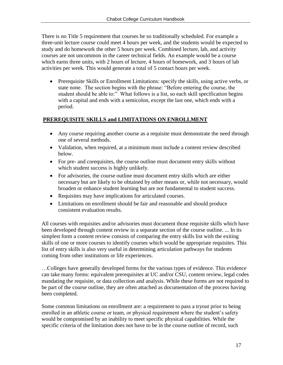There is no Title 5 requirement that courses be so traditionally scheduled. For example a three-unit lecture course could meet 4 hours per week, and the students would be expected to study and do homework the other 5 hours per week. Combined lecture, lab, and activity courses are not uncommon in the career technical fields. An example would be a course which earns three units, with 2 hours of lecture, 4 hours of homework, and 3 hours of lab activities per week. This would generate a total of 5 contact hours per week.

• Prerequisite Skills or Enrollment Limitations: specify the skills, using active verbs, or state none. The section begins with the phrase: "Before entering the course, the student should be able to:" What follows is a list, so each skill specification begins with a capital and ends with a semicolon, except the last one, which ends with a period.

# **PREREQUISITE SKILLS and LIMITATIONS ON ENROLLMENT**

- Any course requiring another course as a requisite must demonstrate the need through one of several methods.
- Validation, when required, at a minimum must include a content review described below.
- For pre- and corequisites, the course outline must document entry skills without which student success is highly unlikely.
- For advisories, the course outline must document entry skills which are either necessary but are likely to be obtained by other means or, while not necessary, would broaden or enhance student learning but are not fundamental to student success.
- Requisites may have implications for articulated courses.
- Limitations on enrollment should be fair and reasonable and should produce consistent evaluation results.

All courses with requisites and/or advisories must document those requisite skills which have been developed through content review in a separate section of the course outline. ... In its simplest form a content review consists of comparing the entry skills list with the exiting skills of one or more courses to identify courses which would be appropriate requisites. This list of entry skills is also very useful in determining articulation pathways for students coming from other institutions or life experiences.

…Colleges have generally developed forms for the various types of evidence. This evidence can take many forms: equivalent prerequisites at UC and/or CSU, content review, legal codes mandating the requisite, or data collection and analysis. While these forms are not required to be part of the course outline, they are often attached as documentation of the process having been completed.

Some common limitations on enrollment are: a requirement to pass a tryout prior to being enrolled in an athletic course or team, or physical requirement where the student's safety would be compromised by an inability to meet specific physical capabilities. While the specific criteria of the limitation does not have to be in the course outline of record, such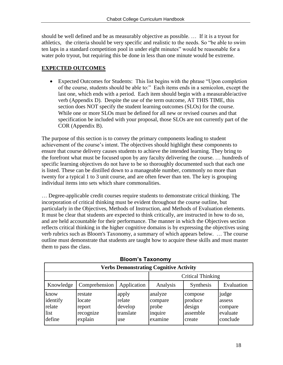should be well defined and be as measurably objective as possible. … If it is a tryout for athletics, the criteria should be very specific and realistic to the needs. So "be able to swim ten laps in a standard competition pool in under eight minutes" would be reasonable for a water polo tryout, but requiring this be done in less than one minute would be extreme.

# **EXPECTED OUTCOMES**

 Expected Outcomes for Students: This list begins with the phrase "Upon completion of the course, students should be able to:" Each items ends in a semicolon, except the last one, which ends with a period. Each item should begin with a measurable/active verb (Appendix D). Despite the use of the term outcome, AT THIS TIME, this section does NOT specify the student learning outcomes (SLOs) for the course. While one or more SLOs must be defined for all new or revised courses and that specification be included with your proposal, those SLOs are not currently part of the COR (Appendix B).

The purpose of this section is to convey the primary components leading to student achievement of the course's intent. The objectives should highlight these components to ensure that course delivery causes students to achieve the intended learning. They bring to the forefront what must be focused upon by any faculty delivering the course. … hundreds of specific learning objectives do not have to be so thoroughly documented such that each one is listed. These can be distilled down to a manageable number, commonly no more than twenty for a typical 1 to 3 unit course, and are often fewer than ten. The key is grouping individual items into sets which share commonalities.

… Degree-applicable credit courses require students to demonstrate critical thinking. The incorporation of critical thinking must be evident throughout the course outline, but particularly in the Objectives, Methods of Instruction, and Methods of Evaluation elements. It must be clear that students are expected to think critically, are instructed in how to do so, and are held accountable for their performance. The manner in which the Objectives section reflects critical thinking in the higher cognitive domains is by expressing the objectives using verb rubrics such as Bloom's Taxonomy, a summary of which appears below. … The course outline must demonstrate that students are taught how to acquire these skills and must master them to pass the class.

| <b>Verbs Demonstrating Cognitive Activity</b> |                                                     |                                                |                                                   |                                                    |                                                    |  |  |  |
|-----------------------------------------------|-----------------------------------------------------|------------------------------------------------|---------------------------------------------------|----------------------------------------------------|----------------------------------------------------|--|--|--|
|                                               |                                                     |                                                | Critical Thinking                                 |                                                    |                                                    |  |  |  |
| Knowledge                                     | Comprehension                                       | Application                                    | Analysis                                          | Synthesis                                          | Evaluation                                         |  |  |  |
| know<br>identify<br>relate<br>list<br>define  | restate<br>locate<br>report<br>recognize<br>explain | apply<br>relate<br>develop<br>translate<br>use | analyze<br>compare<br>probe<br>inquire<br>examine | compose<br>produce<br>design<br>assemble<br>create | judge<br>assess<br>compare<br>evaluate<br>conclude |  |  |  |

# **Bloom's Taxonomy**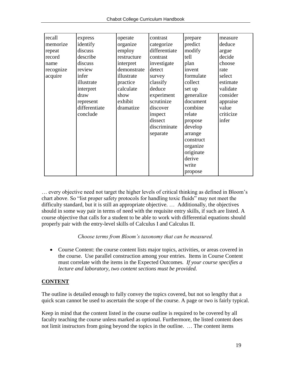| express       | operate     | contrast      | prepare    | measure   |
|---------------|-------------|---------------|------------|-----------|
| identify      | organize    | categorize    | predict    | deduce    |
| discuss       | employ      | differentiate | modify     | argue     |
| describe      | restructure | contrast      | tell       | decide    |
| discuss       | interpret   | investigate   | plan       | choose    |
| review        | demonstrate | detect        | invent     | rate      |
| infer         | illustrate  | survey        | formulate  | select    |
| illustrate    | practice    | classify      | collect    | estimate  |
| interpret     | calculate   | deduce        | set up     | validate  |
| draw          | show        | experiment    | generalize | consider  |
| represent     | exhibit     | scrutinize    | document   | appraise  |
| differentiate | dramatize   | discover      | combine    | value     |
| conclude      |             | inspect       | relate     | criticize |
|               |             | dissect       | propose    | infer     |
|               |             | discriminate  | develop    |           |
|               |             | separate      | arrange    |           |
|               |             |               | construct  |           |
|               |             |               | organize   |           |
|               |             |               | originate  |           |
|               |             |               | derive     |           |
|               |             |               | write      |           |
|               |             |               | propose    |           |
|               |             |               |            |           |

… every objective need not target the higher levels of critical thinking as defined in Bloom's chart above. So "list proper safety protocols for handling toxic fluids" may not meet the difficulty standard, but it is still an appropriate objective. … Additionally, the objectives should in some way pair in terms of need with the requisite entry skills, if such are listed. A course objective that calls for a student to be able to work with differential equations should properly pair with the entry-level skills of Calculus I and Calculus II.

## *Choose terms from Bloom's taxonomy that can be measured.*

 Course Content: the course content lists major topics, activities, or areas covered in the course. Use parallel construction among your entries. Items in Course Content must correlate with the items in the Expected Outcomes*. If your course specifies a lecture and laboratory, two content sections must be provided.* 

# **CONTENT**

The outline is detailed enough to fully convey the topics covered, but not so lengthy that a quick scan cannot be used to ascertain the scope of the course. A page or two is fairly typical.

Keep in mind that the content listed in the course outline is required to be covered by all faculty teaching the course unless marked as optional. Furthermore, the listed content does not limit instructors from going beyond the topics in the outline. … The content items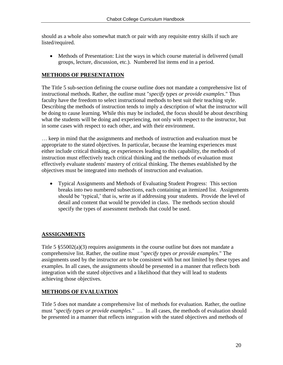should as a whole also somewhat match or pair with any requisite entry skills if such are listed/required.

• Methods of Presentation: List the ways in which course material is delivered (small groups, lecture, discussion, etc.). Numbered list items end in a period.

# **METHODS OF PRESENTATION**

The Title 5 sub-section defining the course outline does not mandate a comprehensive list of instructional methods. Rather, the outline must "*specify types or provide examples*." Thus faculty have the freedom to select instructional methods to best suit their teaching style. Describing the methods of instruction tends to imply a description of what the instructor will be doing to cause learning. While this may be included, the focus should be about describing what the students will be doing and experiencing, not only with respect to the instructor, but in some cases with respect to each other, and with their environment.

… keep in mind that the assignments and methods of instruction and evaluation must be appropriate to the stated objectives. In particular, because the learning experiences must either include critical thinking, or experiences leading to this capability, the methods of instruction must effectively teach critical thinking and the methods of evaluation must effectively evaluate students' mastery of critical thinking. The themes established by the objectives must be integrated into methods of instruction and evaluation.

 Typical Assignments and Methods of Evaluating Student Progress: This section breaks into two numbered subsections, each containing an itemized list. Assignments should be 'typical,' that is, write as if addressing your students. Provide the level of detail and content that would be provided in class. The methods section should specify the types of assessment methods that could be used.

# **ASSSIGNMENTS**

Title 5  $\S 55002(a)(3)$  requires assignments in the course outline but does not mandate a comprehensive list. Rather, the outline must "*specify types or provide examples.*" The assignments used by the instructor are to be consistent with but not limited by these types and examples. In all cases, the assignments should be presented in a manner that reflects both integration with the stated objectives and a likelihood that they will lead to students achieving those objectives.

# **METHODS OF EVALUATION**

Title 5 does not mandate a comprehensive list of methods for evaluation. Rather, the outline must "*specify types or provide examples*." … In all cases, the methods of evaluation should be presented in a manner that reflects integration with the stated objectives and methods of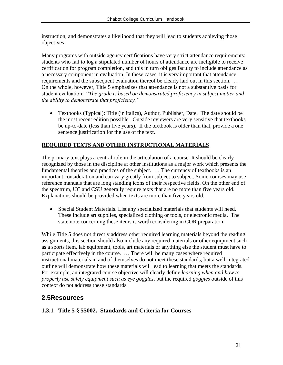instruction, and demonstrates a likelihood that they will lead to students achieving those objectives.

Many programs with outside agency certifications have very strict attendance requirements: students who fail to log a stipulated number of hours of attendance are ineligible to receive certification for program completion, and this in turn obliges faculty to include attendance as a necessary component in evaluation. In these cases, it is very important that attendance requirements and the subsequent evaluation thereof be clearly laid out in this section. … On the whole, however, Title 5 emphasizes that attendance is not a substantive basis for student evaluation: "*The grade is based on demonstrated proficiency in subject matter and the ability to demonstrate that proficiency."*

 Textbooks (Typical): Title (in italics), Author, Publisher, Date. The date should be the most recent edition possible. Outside reviewers are very sensitive that textbooks be up-to-date (less than five years). If the textbook is older than that, provide a one sentence justification for the use of the text.

# **REQUIRED TEXTS AND OTHER INSTRUCTIONAL MATERIALS**

The primary text plays a central role in the articulation of a course. It should be clearly recognized by those in the discipline at other institutions as a major work which presents the fundamental theories and practices of the subject. … The currency of textbooks is an important consideration and can vary greatly from subject to subject. Some courses may use reference manuals that are long standing icons of their respective fields. On the other end of the spectrum, UC and CSU generally require texts that are no more than five years old. Explanations should be provided when texts are more than five years old.

 Special Student Materials. List any specialized materials that students will need. These include art supplies, specialized clothing or tools, or electronic media. The state note concerning these items is worth considering in COR preparation.

While Title 5 does not directly address other required learning materials beyond the reading assignments, this section should also include any required materials or other equipment such as a sports item, lab equipment, tools, art materials or anything else the student must have to participate effectively in the course. … There will be many cases where required instructional materials in and of themselves do not meet these standards, but a well-integrated outline will demonstrate how these materials will lead to learning that meets the standards. For example, an integrated course objective will clearly define *learning when and how to properly use safety equipment such as eye goggles*, but the required *goggles* outside of this context do not address these standards.

# **2.5Resources**

# **1.3.1 Title 5 § 55002. Standards and Criteria for Courses**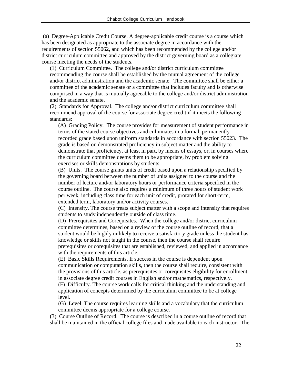(a) Degree-Applicable Credit Course. A degree-applicable credit course is a course which has been designated as appropriate to the associate degree in accordance with the requirements of section 55062, and which has been recommended by the college and/or district curriculum committee and approved by the district governing board as a collegiate course meeting the needs of the students.

(1) Curriculum Committee. The college and/or district curriculum committee recommending the course shall be established by the mutual agreement of the college and/or district administration and the academic senate. The committee shall be either a committee of the academic senate or a committee that includes faculty and is otherwise comprised in a way that is mutually agreeable to the college and/or district administration and the academic senate.

(2) Standards for Approval. The college and/or district curriculum committee shall recommend approval of the course for associate degree credit if it meets the following standards:

(A) Grading Policy. The course provides for measurement of student performance in terms of the stated course objectives and culminates in a formal, permanently recorded grade based upon uniform standards in accordance with section 55023. The grade is based on demonstrated proficiency in subject matter and the ability to demonstrate that proficiency, at least in part, by means of essays, or, in courses where the curriculum committee deems them to be appropriate, by problem solving exercises or skills demonstrations by students.

(B) Units. The course grants units of credit based upon a relationship specified by the governing board between the number of units assigned to the course and the number of lecture and/or laboratory hours or performance criteria specified in the course outline. The course also requires a minimum of three hours of student work per week, including class time for each unit of credit, prorated for short-term, extended term, laboratory and/or activity courses.

(C) Intensity. The course treats subject matter with a scope and intensity that requires students to study independently outside of class time.

(D) Prerequisites and Corequisites. When the college and/or district curriculum committee determines, based on a review of the course outline of record, that a student would be highly unlikely to receive a satisfactory grade unless the student has knowledge or skills not taught in the course, then the course shall require prerequisites or corequisites that are established, reviewed, and applied in accordance with the requirements of this article.

(E) Basic Skills Requirements. If success in the course is dependent upon communication or computation skills, then the course shall require, consistent with the provisions of this article, as prerequisites or corequisites eligibility for enrollment in associate degree credit courses in English and/or mathematics, respectively.

(F) Difficulty. The course work calls for critical thinking and the understanding and application of concepts determined by the curriculum committee to be at college level.

(G) Level. The course requires learning skills and a vocabulary that the curriculum committee deems appropriate for a college course.

(3) Course Outline of Record. The course is described in a course outline of record that shall be maintained in the official college files and made available to each instructor. The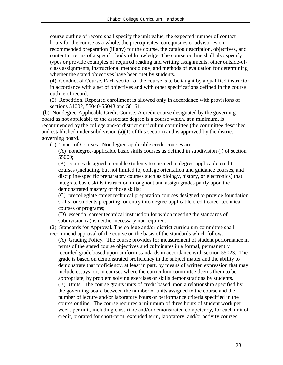course outline of record shall specify the unit value, the expected number of contact hours for the course as a whole, the prerequisites, corequisites or advisories on recommended preparation (if any) for the course, the catalog description, objectives, and content in terms of a specific body of knowledge. The course outline shall also specify types or provide examples of required reading and writing assignments, other outside-ofclass assignments, instructional methodology, and methods of evaluation for determining whether the stated objectives have been met by students.

(4) Conduct of Course. Each section of the course is to be taught by a qualified instructor in accordance with a set of objectives and with other specifications defined in the course outline of record.

(5) Repetition. Repeated enrollment is allowed only in accordance with provisions of sections 51002, 55040-55043 and 58161.

(b) Nondegree-Applicable Credit Course. A credit course designated by the governing board as not applicable to the associate degree is a course which, at a minimum, is recommended by the college and/or district curriculum committee (the committee described and established under subdivision (a)(1) of this section) and is approved by the district governing board.

(1) Types of Courses. Nondegree-applicable credit courses are:

(A) nondegree-applicable basic skills courses as defined in subdivision (j) of section 55000;

(B) courses designed to enable students to succeed in degree-applicable credit courses (including, but not limited to, college orientation and guidance courses, and discipline-specific preparatory courses such as biology, history, or electronics) that integrate basic skills instruction throughout and assign grades partly upon the demonstrated mastery of those skills;

(C) precollegiate career technical preparation courses designed to provide foundation skills for students preparing for entry into degree-applicable credit career technical courses or programs;

(D) essential career technical instruction for which meeting the standards of subdivision (a) is neither necessary nor required.

(2) Standards for Approval. The college and/or district curriculum committee shall recommend approval of the course on the basis of the standards which follow.

(A) Grading Policy. The course provides for measurement of student performance in terms of the stated course objectives and culminates in a formal, permanently recorded grade based upon uniform standards in accordance with section 55023. The grade is based on demonstrated proficiency in the subject matter and the ability to demonstrate that proficiency, at least in part, by means of written expression that may include essays, or, in courses where the curriculum committee deems them to be appropriate, by problem solving exercises or skills demonstrations by students. (B) Units. The course grants units of credit based upon a relationship specified by the governing board between the number of units assigned to the course and the number of lecture and/or laboratory hours or performance criteria specified in the course outline. The course requires a minimum of three hours of student work per week, per unit, including class time and/or demonstrated competency, for each unit of credit, prorated for short-term, extended term, laboratory, and/or activity courses.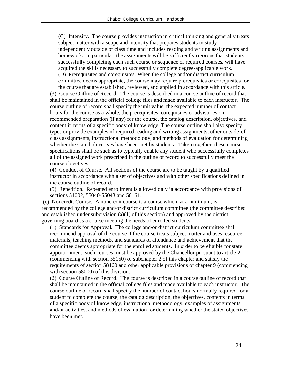(C) Intensity. The course provides instruction in critical thinking and generally treats subject matter with a scope and intensity that prepares students to study independently outside of class time and includes reading and writing assignments and homework. In particular, the assignments will be sufficiently rigorous that students successfully completing each such course or sequence of required courses, will have acquired the skills necessary to successfully complete degree-applicable work. (D) Prerequisites and corequisites. When the college and/or district curriculum committee deems appropriate, the course may require prerequisites or corequisites for the course that are established, reviewed, and applied in accordance with this article.

(3) Course Outline of Record. The course is described in a course outline of record that shall be maintained in the official college files and made available to each instructor. The course outline of record shall specify the unit value, the expected number of contact hours for the course as a whole, the prerequisites, corequisites or advisories on recommended preparation (if any) for the course, the catalog description, objectives, and content in terms of a specific body of knowledge. The course outline shall also specify types or provide examples of required reading and writing assignments, other outside-ofclass assignments, instructional methodology, and methods of evaluation for determining whether the stated objectives have been met by students. Taken together, these course specifications shall be such as to typically enable any student who successfully completes all of the assigned work prescribed in the outline of record to successfully meet the course objectives.

(4) Conduct of Course. All sections of the course are to be taught by a qualified instructor in accordance with a set of objectives and with other specifications defined in the course outline of record.

(5) Repetition. Repeated enrollment is allowed only in accordance with provisions of sections 51002, 55040-55043 and 58161.

(c) Noncredit Course. A noncredit course is a course which, at a minimum, is recommended by the college and/or district curriculum committee (the committee described and established under subdivision (a)(1) of this section) and approved by the district governing board as a course meeting the needs of enrolled students.

(1) Standards for Approval. The college and/or district curriculum committee shall recommend approval of the course if the course treats subject matter and uses resource materials, teaching methods, and standards of attendance and achievement that the committee deems appropriate for the enrolled students. In order to be eligible for state apportionment, such courses must be approved by the Chancellor pursuant to article 2 (commencing with section 55150) of subchapter 2 of this chapter and satisfy the requirements of section 58160 and other applicable provisions of chapter 9 (commencing with section 58000) of this division.

(2) Course Outline of Record. The course is described in a course outline of record that shall be maintained in the official college files and made available to each instructor. The course outline of record shall specify the number of contact hours normally required for a student to complete the course, the catalog description, the objectives, contents in terms of a specific body of knowledge, instructional methodology, examples of assignments and/or activities, and methods of evaluation for determining whether the stated objectives have been met.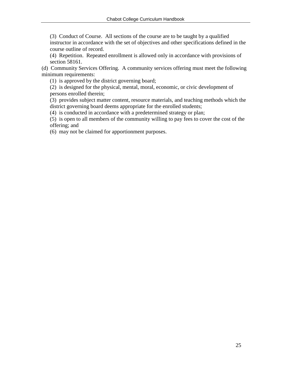(3) Conduct of Course. All sections of the course are to be taught by a qualified instructor in accordance with the set of objectives and other specifications defined in the course outline of record.

(4) Repetition. Repeated enrollment is allowed only in accordance with provisions of section 58161.

(d) Community Services Offering. A community services offering must meet the following minimum requirements:

(1) is approved by the district governing board;

(2) is designed for the physical, mental, moral, economic, or civic development of persons enrolled therein;

(3) provides subject matter content, resource materials, and teaching methods which the district governing board deems appropriate for the enrolled students;

(4) is conducted in accordance with a predetermined strategy or plan;

(5) is open to all members of the community willing to pay fees to cover the cost of the offering; and

(6) may not be claimed for apportionment purposes.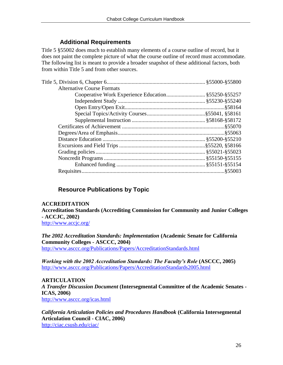# **Additional Requirements**

Title 5 §55002 does much to establish many elements of a course outline of record, but it does not paint the complete picture of what the course outline of record must accommodate. The following list is meant to provide a broader snapshot of these additional factors, both from within Title 5 and from other sources.

| <b>Alternative Course Formats</b> |  |
|-----------------------------------|--|
|                                   |  |
|                                   |  |
|                                   |  |
|                                   |  |
|                                   |  |
|                                   |  |
|                                   |  |
|                                   |  |
|                                   |  |
|                                   |  |
|                                   |  |
|                                   |  |
|                                   |  |
|                                   |  |

# **Resource Publications by Topic**

## **ACCREDITATION**

**Accreditation Standards (Accrediting Commission for Community and Junior Colleges - ACCJC, 2002)**

<http://www.accjc.org/>

*The 2002 Accreditation Standards: Implementation* **(Academic Senate for California Community Colleges - ASCCC, 2004)**  <http://www.asccc.org/Publications/Papers/AccreditationStandards.html>

*Working with the 2002 Accreditation Standards: The Faculty's Role* **(ASCCC, 2005)** <http://www.asccc.org/Publications/Papers/AccreditationStandards2005.html>

**ARTICULATION** *A Transfer Discussion Document* **(Intersegmental Committee of the Academic Senates - ICAS, 2006)** <http://www.asccc.org/icas.html>

*California Articulation Policies and Procedures Handbook* **(California Intersegmental Articulation Council - CIAC, 2006)** <http://ciac.csusb.edu/ciac/>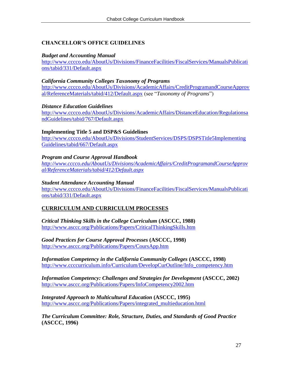# **CHANCELLOR'S OFFICE GUIDELINES**

#### *Budget and Accounting Manual*

[http://www.cccco.edu/AboutUs/Divisions/FinanceFacilities/FiscalServices/ManualsPublicati](http://www.cccco.edu/AboutUs/Divisions/FinanceFacilities/FiscalServices/ManualsPublications/tabid/331/Default.aspx) [ons/tabid/331/Default.aspx](http://www.cccco.edu/AboutUs/Divisions/FinanceFacilities/FiscalServices/ManualsPublications/tabid/331/Default.aspx)

#### *California Community Colleges Taxonomy of Programs*

[http://www.cccco.edu/AboutUs/Divisions/AcademicAffairs/CreditProgramandCourseApprov](http://www.cccco.edu/AboutUs/Divisions/AcademicAffairs/CreditProgramandCourseApproval/ReferenceMaterials/tabid/412/Default.aspx) [al/ReferenceMaterials/tabid/412/Default.aspx](http://www.cccco.edu/AboutUs/Divisions/AcademicAffairs/CreditProgramandCourseApproval/ReferenceMaterials/tabid/412/Default.aspx) (see "*Taxonomy of Programs*")

#### *Distance Education Guidelines*

[http://www.cccco.edu/AboutUs/Divisions/AcademicAffairs/DistanceEducation/Regulationsa](http://www.cccco.edu/AboutUs/Divisions/AcademicAffairs/DistanceEducation/RegulationsandGuidelines/tabid/767/Default.aspx) [ndGuidelines/tabid/767/Default.aspx](http://www.cccco.edu/AboutUs/Divisions/AcademicAffairs/DistanceEducation/RegulationsandGuidelines/tabid/767/Default.aspx)

#### **Implementing Title 5 and DSP&S Guidelines**

[http://www.cccco.edu/AboutUs/Divisions/StudentServices/DSPS/DSPSTitle5Implementing](http://www.cccco.edu/AboutUs/Divisions/StudentServices/DSPS/DSPSTitle5ImplementingGuidelines/tabid/667/Default.aspx) [Guidelines/tabid/667/Default.aspx](http://www.cccco.edu/AboutUs/Divisions/StudentServices/DSPS/DSPSTitle5ImplementingGuidelines/tabid/667/Default.aspx)

#### *Program and Course Approval Handbook*

*[http://www.cccco.edu/AboutUs/Divisions/AcademicAffairs/CreditProgramandCourseApprov](http://www.cccco.edu/AboutUs/Divisions/AcademicAffairs/CreditProgramandCourseApproval/ReferenceMaterials/tabid/412/Default.aspx) [al/ReferenceMaterials/tabid/412/Default.aspx](http://www.cccco.edu/AboutUs/Divisions/AcademicAffairs/CreditProgramandCourseApproval/ReferenceMaterials/tabid/412/Default.aspx)*

#### *Student Attendance Accounting Manual*

[http://www.cccco.edu/AboutUs/Divisions/FinanceFacilities/FiscalServices/ManualsPublicati](http://www.cccco.edu/AboutUs/Divisions/FinanceFacilities/FiscalServices/ManualsPublications/tabid/331/Default.aspx) [ons/tabid/331/Default.aspx](http://www.cccco.edu/AboutUs/Divisions/FinanceFacilities/FiscalServices/ManualsPublications/tabid/331/Default.aspx)

## **CURRICULUM AND CURRICULUM PROCESSES**

*Critical Thinking Skills in the College Curriculum* **(ASCCC, 1988)** <http://www.asccc.org/Publications/Papers/CriticalThinkingSkills.htm>

*Good Practices for Course Approval Processes* **(ASCCC, 1998)** <http://www.asccc.org/Publications/Papers/CoursApp.htm>

*Information Competency in the California Community Colleges* **(ASCCC, 1998)** [http://www.ccccurriculum.info/Curriculum/DevelopCurOutline/Info\\_competency.htm](http://www.ccccurriculum.info/Curriculum/DevelopCurOutline/Info_competency.htm)

*Information Competency: Challenges and Strategies for Development* **(ASCCC, 2002)** <http://www.asccc.org/Publications/Papers/InfoCompetency2002.htm>

*Integrated Approach to Multicultural Education* **(ASCCC, 1995)** [http://www.asccc.org/Publications/Papers/integrated\\_multieducation.html](http://www.asccc.org/Publications/Papers/integrated_multieducation.html)

*The Curriculum Committee: Role, Structure, Duties, and Standards of Good Practice* **(ASCCC, 1996)**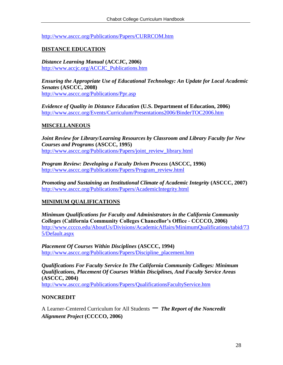<http://www.asccc.org/Publications/Papers/CURRCOM.htm>

# **DISTANCE EDUCATION**

*Distance Learning Manual* **(ACCJC, 2006)** [http://www.accjc.org/ACCJC\\_Publications.htm](http://www.accjc.org/ACCJC_Publications.htm)

*Ensuring the Appropriate Use of Educational Technology: An Update for Local Academic Senates* **(ASCCC, 2008)** <http://www.asccc.org/Publications/Ppr.asp>

*Evidence of Quality in Distance Education* **(U.S. Department of Education, 2006)** <http://www.asccc.org/Events/Curriculum/Presentations2006/BinderTOC2006.htm>

## **MISCELLANEOUS**

*Joint Review for Library/Learning Resources by Classroom and Library Faculty for New Courses and Programs* **(ASCCC, 1995)** [http://www.asccc.org/Publications/Papers/joint\\_review\\_library.html](http://www.asccc.org/Publications/Papers/joint_review_library.html)

*Program Review: Developing a Faculty Driven Process* **(ASCCC, 1996)** [http://www.asccc.org/Publications/Papers/Program\\_review.html](http://www.asccc.org/Publications/Papers/Program_review.html)

*Promoting and Sustaining an Institutional Climate of Academic Integrity* **(ASCCC, 2007)** <http://www.asccc.org/Publications/Papers/AcademicIntegrity.html>

# **MINIMUM QUALIFICATIONS**

*Minimum Qualifications for Faculty and Administrators in the California Community Colleges* **(California Community Colleges Chancellor's Office - CCCCO, 2006)** [http://www.cccco.edu/AboutUs/Divisions/AcademicAffairs/MinimumQualifications/tabid/73](http://www.cccco.edu/AboutUs/Divisions/AcademicAffairs/MinimumQualifications/tabid/735/Default.aspx) [5/Default.aspx](http://www.cccco.edu/AboutUs/Divisions/AcademicAffairs/MinimumQualifications/tabid/735/Default.aspx)

*Placement Of Courses Within Disciplines* **(ASCCC, 1994)** [http://www.asccc.org/Publications/Papers/Discipline\\_placement.htm](http://www.asccc.org/Publications/Papers/Discipline_placement.htm)

*Qualifications For Faculty Service In The California Community Colleges: Minimum Qualifications, Placement Of Courses Within Disciplines, And Faculty Service Areas* **(ASCCC, 2004)** <http://www.asccc.org/Publications/Papers/QualificationsFacultyService.htm>

**NONCREDIT**

A Learner-Centered Curriculum for All Students *– The Report of the Noncredit Alignment Project* **(CCCCO, 2006)**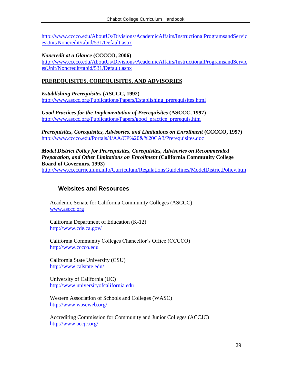[http://www.cccco.edu/AboutUs/Divisions/AcademicAffairs/InstructionalProgramsandServic](http://www.cccco.edu/AboutUs/Divisions/AcademicAffairs/InstructionalProgramsandServicesUnit/Noncredit/tabid/531/Default.aspx) [esUnit/Noncredit/tabid/531/Default.aspx](http://www.cccco.edu/AboutUs/Divisions/AcademicAffairs/InstructionalProgramsandServicesUnit/Noncredit/tabid/531/Default.aspx)

*Noncredit at a Glance* **(CCCCO, 2006)**

[http://www.cccco.edu/AboutUs/Divisions/AcademicAffairs/InstructionalProgramsandServic](http://www.cccco.edu/AboutUs/Divisions/AcademicAffairs/InstructionalProgramsandServicesUnit/Noncredit/tabid/531/Default.aspx) [esUnit/Noncredit/tabid/531/Default.aspx](http://www.cccco.edu/AboutUs/Divisions/AcademicAffairs/InstructionalProgramsandServicesUnit/Noncredit/tabid/531/Default.aspx)

# **PREREQUISITES, COREQUISITES, AND ADVISORIES**

*Establishing Prerequisites* **(ASCCC, 1992)** http://www.asccc.org/Publications/Papers/Establishing prerequisites.html

*Good Practices for the Implementation of Prerequisites* **(ASCCC, 1997)** [http://www.asccc.org/Publications/Papers/good\\_practice\\_prerequis.htm](http://www.asccc.org/Publications/Papers/good_practice_prerequis.htm)

*Prerequisites, Corequisites, Advisories, and Limitations on Enrollment* (CCCCO, 1997) <http://www.cccco.edu/Portals/4/AA/CP%20&%20CA3/Prerequisites.doc>

*Model District Policy for Prerequisites, Corequisites, Advisories on Recommended Preparation, and Other Limitations on Enrollment* **(California Community College Board of Governors, 1993)**

<http://www.ccccurriculum.info/Curriculum/RegulationsGuidelines/ModelDistrictPolicy.htm>

# **Websites and Resources**

Academic Senate for California Community Colleges (ASCCC) [www.asccc.org](http://www.asccc.org/)

California Department of Education (K-12) <http://www.cde.ca.gov/>

California Community Colleges Chancellor's Office (CCCCO) [http://www.cccco.edu](http://www.cccco.edu/)

California State University (CSU) <http://www.calstate.edu/>

University of California (UC) [http://www.universityofcalifornia.edu](http://www.universityofcalifornia.edu/)

Western Association of Schools and Colleges (WASC) <http://www.wascweb.org/>

Accrediting Commission for Community and Junior Colleges (ACCJC) <http://www.accjc.org/>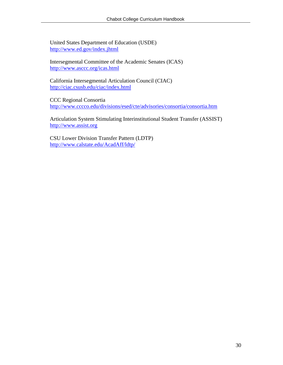United States Department of Education (USDE) <http://www.ed.gov/index.jhtml>

Intersegmental Committee of the Academic Senates (ICAS) <http://www.asccc.org/icas.html>

California Intersegmental Articulation Council (CIAC) <http://ciac.csusb.edu/ciac/index.html>

CCC Regional Consortia <http://www.cccco.edu/divisions/esed/cte/advisories/consortia/consortia.htm>

Articulation System Stimulating Interinstitutional Student Transfer (ASSIST) [http://www.assist.org](http://www.assist.org/)

CSU Lower Division Transfer Pattern (LDTP) <http://www.calstate.edu/AcadAff/ldtp/>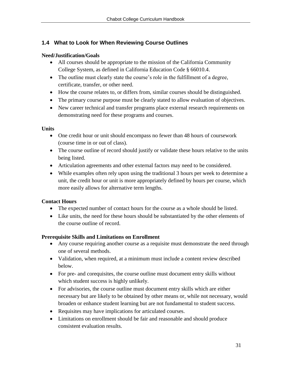# **1.4 What to Look for When Reviewing Course Outlines**

## **Need/Justification/Goals**

- All courses should be appropriate to the mission of the California Community College System, as defined in California Education Code § 66010.4.
- The outline must clearly state the course's role in the fulfillment of a degree, certificate, transfer, or other need.
- How the course relates to, or differs from, similar courses should be distinguished.
- The primary course purpose must be clearly stated to allow evaluation of objectives.
- New career technical and transfer programs place external research requirements on demonstrating need for these programs and courses.

## **Units**

- One credit hour or unit should encompass no fewer than 48 hours of coursework (course time in or out of class).
- The course outline of record should justify or validate these hours relative to the units being listed.
- Articulation agreements and other external factors may need to be considered.
- While examples often rely upon using the traditional 3 hours per week to determine a unit, the credit hour or unit is more appropriately defined by hours per course, which more easily allows for alternative term lengths.

## **Contact Hours**

- The expected number of contact hours for the course as a whole should be listed.
- Like units, the need for these hours should be substantiated by the other elements of the course outline of record.

## **Prerequisite Skills and Limitations on Enrollment**

- Any course requiring another course as a requisite must demonstrate the need through one of several methods.
- Validation, when required, at a minimum must include a content review described below.
- For pre- and corequisites, the course outline must document entry skills without which student success is highly unlikely.
- For advisories, the course outline must document entry skills which are either necessary but are likely to be obtained by other means or, while not necessary, would broaden or enhance student learning but are not fundamental to student success.
- Requisites may have implications for articulated courses.
- Limitations on enrollment should be fair and reasonable and should produce consistent evaluation results.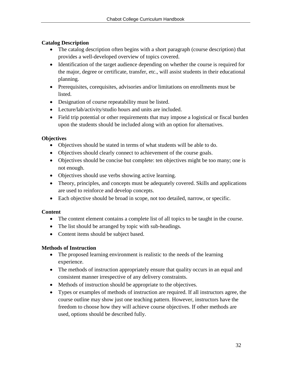# **Catalog Description**

- The catalog description often begins with a short paragraph (course description) that provides a well-developed overview of topics covered.
- Identification of the target audience depending on whether the course is required for the major, degree or certificate, transfer, etc., will assist students in their educational planning.
- Prerequisites, corequisites, advisories and/or limitations on enrollments must be listed.
- Designation of course repeatability must be listed.
- Lecture/lab/activity/studio hours and units are included.
- Field trip potential or other requirements that may impose a logistical or fiscal burden upon the students should be included along with an option for alternatives.

# **Objectives**

- Objectives should be stated in terms of what students will be able to do.
- Objectives should clearly connect to achievement of the course goals.
- Objectives should be concise but complete: ten objectives might be too many; one is not enough.
- Objectives should use verbs showing active learning.
- Theory, principles, and concepts must be adequately covered. Skills and applications are used to reinforce and develop concepts.
- Each objective should be broad in scope, not too detailed, narrow, or specific.

# **Content**

- The content element contains a complete list of all topics to be taught in the course.
- The list should be arranged by topic with sub-headings.
- Content items should be subject based.

# **Methods of Instruction**

- The proposed learning environment is realistic to the needs of the learning experience.
- The methods of instruction appropriately ensure that quality occurs in an equal and consistent manner irrespective of any delivery constraints.
- Methods of instruction should be appropriate to the objectives.
- Types or examples of methods of instruction are required. If all instructors agree, the course outline may show just one teaching pattern. However, instructors have the freedom to choose how they will achieve course objectives. If other methods are used, options should be described fully.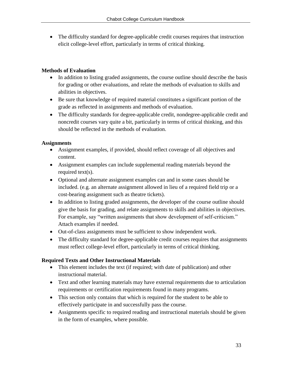The difficulty standard for degree-applicable credit courses requires that instruction elicit college-level effort, particularly in terms of critical thinking.

## **Methods of Evaluation**

- In addition to listing graded assignments, the course outline should describe the basis for grading or other evaluations, and relate the methods of evaluation to skills and abilities in objectives.
- Be sure that knowledge of required material constitutes a significant portion of the grade as reflected in assignments and methods of evaluation.
- The difficulty standards for degree-applicable credit, nondegree-applicable credit and noncredit courses vary quite a bit, particularly in terms of critical thinking, and this should be reflected in the methods of evaluation.

# **Assignments**

- Assignment examples, if provided, should reflect coverage of all objectives and content.
- Assignment examples can include supplemental reading materials beyond the required text(s).
- Optional and alternate assignment examples can and in some cases should be included. (e.g. an alternate assignment allowed in lieu of a required field trip or a cost-bearing assignment such as theatre tickets).
- In addition to listing graded assignments, the developer of the course outline should give the basis for grading, and relate assignments to skills and abilities in objectives. For example, say "written assignments that show development of self-criticism." Attach examples if needed.
- Out-of-class assignments must be sufficient to show independent work.
- The difficulty standard for degree-applicable credit courses requires that assignments must reflect college-level effort, particularly in terms of critical thinking.

# **Required Texts and Other Instructional Materials**

- This element includes the text (if required; with date of publication) and other instructional material.
- Text and other learning materials may have external requirements due to articulation requirements or certification requirements found in many programs.
- This section only contains that which is required for the student to be able to effectively participate in and successfully pass the course.
- Assignments specific to required reading and instructional materials should be given in the form of examples, where possible.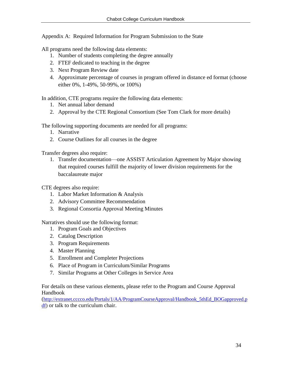Appendix A: Required Information for Program Submission to the State

All programs need the following data elements:

- 1. Number of students completing the degree annually
- 2. FTEF dedicated to teaching in the degree
- 3. Next Program Review date
- 4. Approximate percentage of courses in program offered in distance ed format (choose either 0%, 1-49%, 50-99%, or 100%)

In addition, CTE programs require the following data elements:

- 1. Net annual labor demand
- 2. Approval by the CTE Regional Consortium (See Tom Clark for more details)

The following supporting documents are needed for all programs:

- 1. Narrative
- 2. Course Outlines for all courses in the degree

Transfer degrees also require:

1. Transfer documentation—one ASSIST Articulation Agreement by Major showing that required courses fulfill the majority of lower division requirements for the baccalaureate major

CTE degrees also require:

- 1. Labor Market Information & Analysis
- 2. Advisory Committee Recommendation
- 3. Regional Consortia Approval Meeting Minutes

Narratives should use the following format:

- 1. Program Goals and Objectives
- 2. Catalog Description
- 3. Program Requirements
- 4. Master Planning
- 5. Enrollment and Completer Projections
- 6. Place of Program in Curriculum/Similar Programs
- 7. Similar Programs at Other Colleges in Service Area

For details on these various elements, please refer to the Program and Course Approval Handbook

([http://extranet.cccco.edu/Portals/1/AA/ProgramCourseApproval/Handbook\\_5thEd\\_BOGapproved.p](http://extranet.cccco.edu/Portals/1/AA/ProgramCourseApproval/Handbook_5thEd_BOGapproved.pdf) [df\)](http://extranet.cccco.edu/Portals/1/AA/ProgramCourseApproval/Handbook_5thEd_BOGapproved.pdf) or talk to the curriculum chair.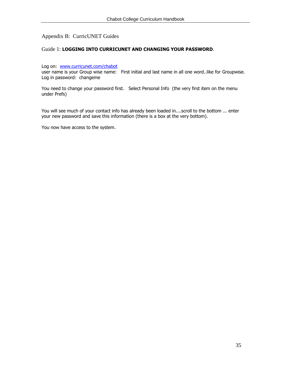#### Appendix B: CurricUNET Guides

#### Guide 1: **LOGGING INTO CURRICUNET AND CHANGING YOUR PASSWORD**.

Log on: [www.curricunet.com/chabot](http://www.curricunet.com/chabot)

user name is your Group wise name: First initial and last name in all one word..like for Groupwise. Log in password: changeme

You need to change your password first. Select Personal Info (the very first item on the menu under Prefs)

You will see much of your contact info has already been loaded in....scroll to the bottom ... enter your new password and save this information (there is a box at the very bottom).

You now have access to the system.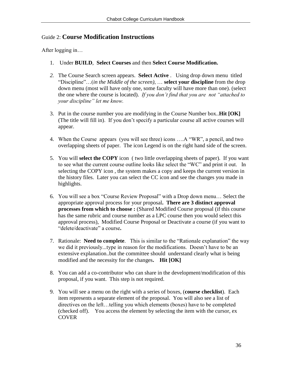# Guide 2: **Course Modification Instructions**

After logging in…

- 1. Under **BUILD**, **Select Courses** and then **Select Course Modification.**
- *2.* The Course Search screen appears. **Select Active** . Using drop down menu titled "Discipline"…(*in the Middle of the screen)*, … **select your discipline** from the drop down menu (most will have only one, some faculty will have more than one). (select the one where the course is located). *If you don't find that you are not "attached to your discipline" let me know.*
- 3. Put in the course number you are modifying in the Course Number box..**Hit [OK]**  (The title will fill in). If you don't specify a particular course all active courses will appear.
- 4. When the Course appears (you will see three) icons ….A "WR", a pencil, and two overlapping sheets of paper. The icon Legend is on the right hand side of the screen.
- 5. You will **select the COPY** icon ( two little overlapping sheets of paper). If you want to see what the current course outline looks like select the "WC" and print it out. In selecting the COPY icon , the system makes a copy and keeps the current version in the history files. Later you can select the CC icon and see the changes you made in highlights.
- 6. You will see a box "Course Review Proposal" with a Drop down menu… Select the appropriate approval process for your proposal**. There are 3 distinct approval processes from which to choose :** (Shared Modified Course proposal (if this course has the same rubric and course number as a LPC course then you would select this approval process), Modified Course Proposal or Deactivate a course (if you want to "delete/deactivate" a course**.**
- 7. Rationale: **Need to complete**. This is similar to the "Rationale explanation" the way we did it previously...type in reason for the modifications. Doesn't have to be an extensive explanation..but the committee should understand clearly what is being modified and the necessity for the changes**. Hit [OK]**
- 8. You can add a co-contributor who can share in the development/modification of this proposal, if you want. This step is not required.
- 9. You will see a menu on the right with a series of boxes, (**course checklist**). Each item represents a separate element of the proposal. You will also see a list of directives on the left…telling you which elements (boxes) have to be completed (checked off). You access the element by selecting the item with the cursor, ex **COVER**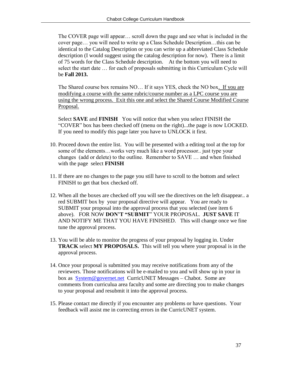The COVER page will appear… scroll down the page and see what is included in the cover page… you will need to write up a Class Schedule Description…this can be identical to the Catalog Description or you can write up a abbreviated Class Schedule description (I would suggest using the catalog description for now). There is a limit of 75 words for the Class Schedule description. At the bottom you will need to select the start date … for each of proposals submitting in this Curriculum Cycle will be **Fall 2013.**

The Shared course box remains NO… If it says YES, check the NO box. If you are modifying a course with the same rubric/course number as a LPC course you are using the wrong process. Exit this one and select the Shared Course Modified Course Proposal.

Select **SAVE** and **FINISH** You will notice that when you select FINISH the "COVER" box has been checked off (menu on the right)...the page is now LOCKED. If you need to modify this page later you have to UNLOCK it first.

- 10. Proceed down the entire list. You will be presented with a editing tool at the top for some of the elements…works very much like a word processor.. just type your changes (add or delete) to the outline. Remember to SAVE … and when finished with the page select **FINISH**
- 11. If there are no changes to the page you still have to scroll to the bottom and select FINISH to get that box checked off.
- 12. When all the boxes are checked off you will see the directives on the left disappear.. a red SUBMIT box by your proposal directive will appear. You are ready to SUBMIT your proposal into the approval process that you selected (see item 6 above). FOR NOW **DON'T "SUBMIT**" YOUR PROPOSAL. **JUST SAVE** IT AND NOTIFY ME THAT YOU HAVE FINISHED. This will change once we fine tune the approval process.
- 13. You will be able to monitor the progress of your proposal by logging in. Under **TRACK** select **MY PROPOSALS.** This will tell you where your proposal is in the approval process.
- 14. Once your proposal is submitted you may receive notifications from any of the reviewers. Those notifications will be e-mailed to you and will show up in your in box as [System@governet.net](mailto:System@governet.net) CurricUNET Messages – Chabot. Some are comments from curriculua area faculty and some are directing you to make changes to your proposal and resubmit it into the approval process.
- 15. Please contact me directly if you encounter any problems or have questions. Your feedback will assist me in correcting errors in the CurricUNET system.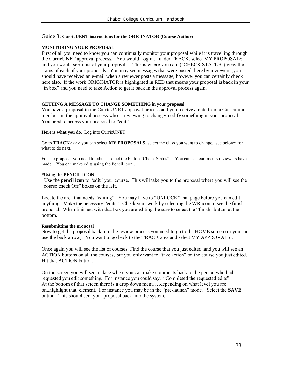#### Guide 3: **CurricUENT instructions for the ORIGINATOR (Course Author)**

#### **MONITORING YOUR PROPOSAL**

First of all you need to know you can continually monitor your proposal while it is travelling through the CurricUNET approval process. You would Log in…under TRACK, select MY PROPOSALS and you would see a list of your proposals. This is where you can ("CHECK STATUS") view the status of each of your proposals. You may see messages that were posted there by reviewers (you should have received an e-mail when a reviewer posts a message, however you can certainly check here also. If the work ORIGINATOR is highlighted in RED that means your proposal is back in your "in box" and you need to take Action to get it back in the approval process again.

#### **GETTING A MESSAGE TO CHANGE SOMETHING in your proposal**

You have a proposal in the CurricUNET approval process and you receive a note from a Curiculum member in the approval process who is reviewing to change/modify something in your proposal. You need to access your proposal to "edit".

**Here is what you do.** Log into CurricUNET.

Go to **TRACK**>>>> you can select **MY PROPOSALS..**select the class you want to change.. see below\* for what to do next.

For the proposal you need to edit ... select the button "Check Status". You can see comments reviewers have made. You can make edits using the Pencil icon...

#### **\*Using the PENCIL ICON**

 Use the **pencil icon** to "edit" your course. This will take you to the proposal where you will see the "course check Off" boxes on the left.

Locate the area that needs "editing". You may have to "UNLOCK" that page before you can edit anything. Make the necessary "edits". Check your work by selecting the WR icon to see the finish proposal. When finished with that box you are editing, be sure to select the "finish" button at the bottom.

#### **Resubmitting the proposal**

Now to get the proposal back into the review process you need to go to the HOME screen (or you can use the back arrow). You want to go back to the TRACK area and select MY APPROVALS .

Once again you will see the list of courses. Find the course that you just edited..and you will see an ACTION buttons on all the courses, but you only want to "take action" on the course you just edited. Hit that ACTION button.

On the screen you will see a place where you can make comments back to the person who had requested you edit something. For instance you could say. "Completed the requested edits" At the bottom of that screen there is a drop down menu …depending on what level you are on..highlight that element. For instance you may be in the "pre-launch" mode. Select the **SAVE**  button. This should sent your proposal back into the system.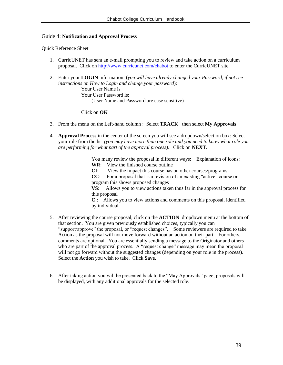#### Guide 4: **Notification and Approval Process**

Quick Reference Sheet

- 1. CurricUNET has sent an e-mail prompting you to review and take action on a curriculum proposal. Click on<http://www.curricunet.com/chabot> to enter the CurricUNET site.
- 2. Enter your **LOGIN** information: (*you will have already changed your Password, if not see instructions on How to Login and change your password*):

Your User Name is Your User Password is: (User Name and Password are case sensitive)

Click on **OK**

- 3. From the menu on the Left-hand column : Select **TRACK** then select **My Approvals**
- 4. **Approval Process** in the center of the screen you will see a dropdown/selection box: Select your role from the list *(you may have more than one role and you need to know what role you are performing for what part of the approval process)*. Click on **NEXT**.

You many review the proposal in different ways: Explanation of icons: **WR**: View the finished course outline

**CI**: View the impact this course has on other courses/programs

**CC**: For a proposal that is a revision of an existing "active" course or program this shows proposed changes

**VS**: Allows you to view actions taken thus far in the approval process for this proposal

**C!**: Allows you to view actions and comments on this proposal, identified by individual

- 5. After reviewing the course proposal, click on the **ACTION** dropdown menu at the bottom of that section. You are given previously established choices, typically you can "support/approve" the proposal, or "request changes". Some reviewers are required to take Action as the proposal will not move forward without an action on their part. For others, comments are optional. You are essentially sending a message to the Originator and others who are part of the approval process. A "request change" message may mean the proposal will not go forward without the suggested changes (depending on your role in the process). Select the **Action** you wish to take. Click **Save**.
- 6. After taking action you will be presented back to the "May Approvals" page, proposals will be displayed, with any additional approvals for the selected role.